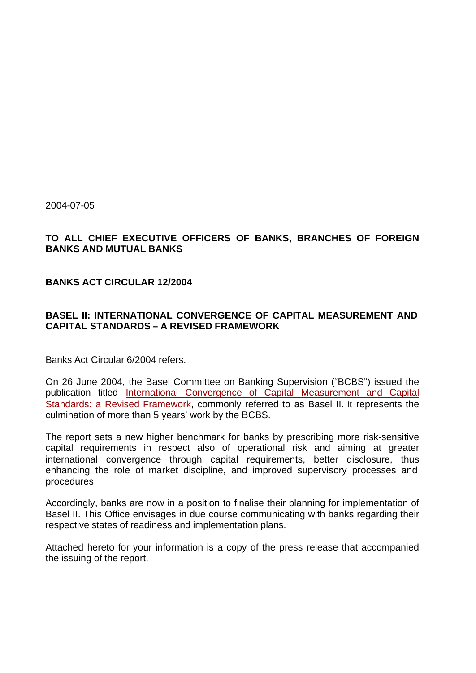2004-07-05

# **TO ALL CHIEF EXECUTIVE OFFICERS OF BANKS, BRANCHES OF FOREIGN BANKS AND MUTUAL BANKS**

#### **BANKS ACT CIRCULAR 12/2004**

# **BASEL II: INTERNATIONAL CONVERGENCE OF CAPITAL MEASUREMENT AND CAPITAL STANDARDS – A REVISED FRAMEWORK**

Banks Act Circular 6/2004 refers.

On 26 June 2004, the Basel Committee on Banking Supervision ("BCBS") issued the publication titled International Convergence of Capital Measurement and Capital Standards: a Revised Framework, commonly referred to as Basel II. It represents the culmination of more than 5 years' work by the BCBS.

The report sets a new higher benchmark for banks by prescribing more risk-sensitive capital requirements in respect also of operational risk and aiming at greater international convergence through capital requirements, better disclosure, thus enhancing the role of market discipline, and improved supervisory processes and procedures.

Accordingly, banks are now in a position to finalise their planning for implementation of Basel II. This Office envisages in due course communicating with banks regarding their respective states of readiness and implementation plans.

Attached hereto for your information is a copy of the press release that accompanied the issuing of the report.